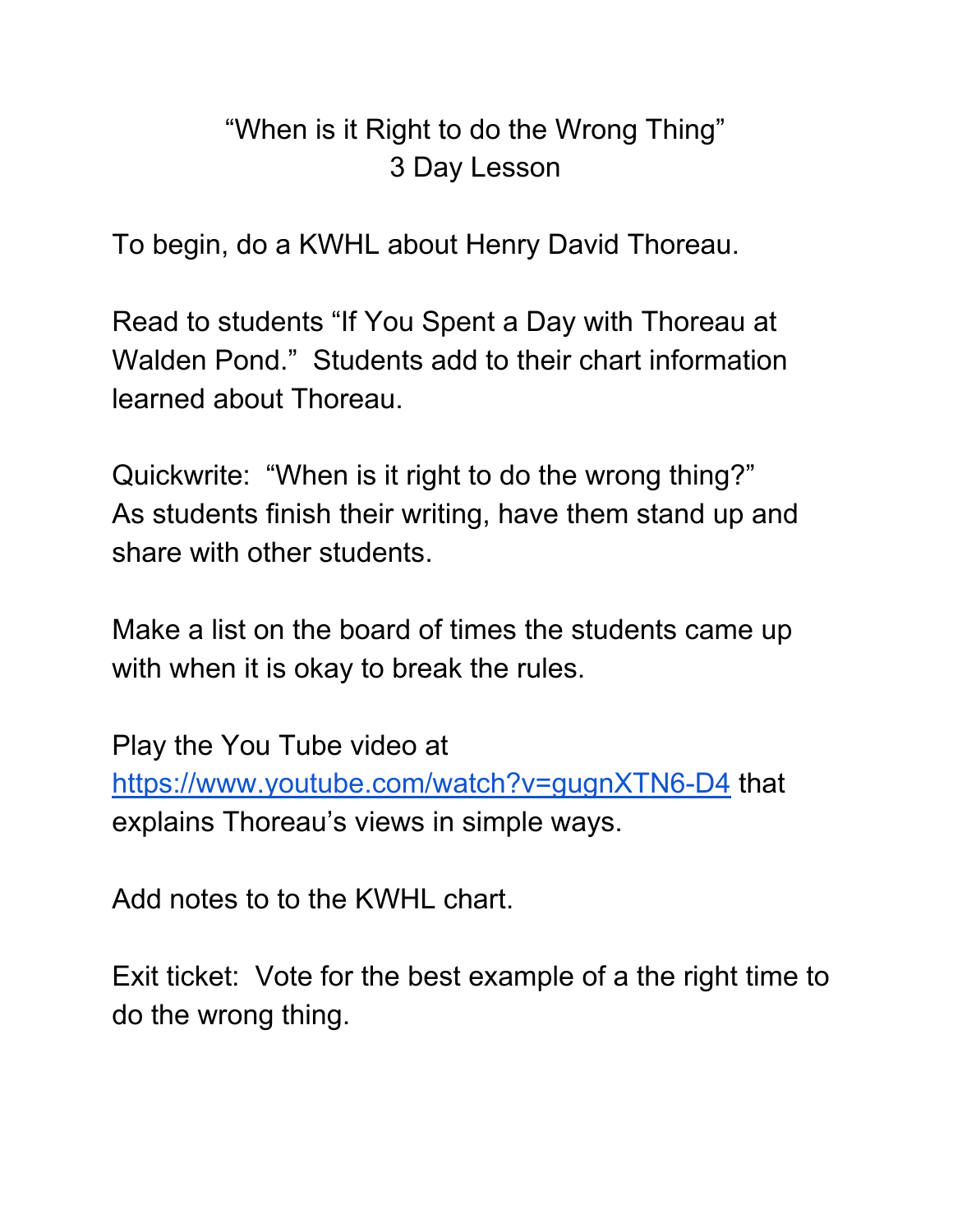## "When is it Right to do the Wrong Thing" 3 Day Lesson

To begin, do a KWHL about Henry David Thoreau.

Read to students "If You Spent a Day with Thoreau at Walden Pond." Students add to their chart information learned about Thoreau.

Quickwrite: "When is it right to do the wrong thing?" As students finish their writing, have them stand up and share with other students.

Make a list on the board of times the students came up with when it is okay to break the rules.

Play the You Tube video at <https://www.youtube.com/watch?v=gugnXTN6-D4> that explains Thoreau's views in simple ways.

Add notes to to the KWHL chart.

Exit ticket: Vote for the best example of a the right time to do the wrong thing.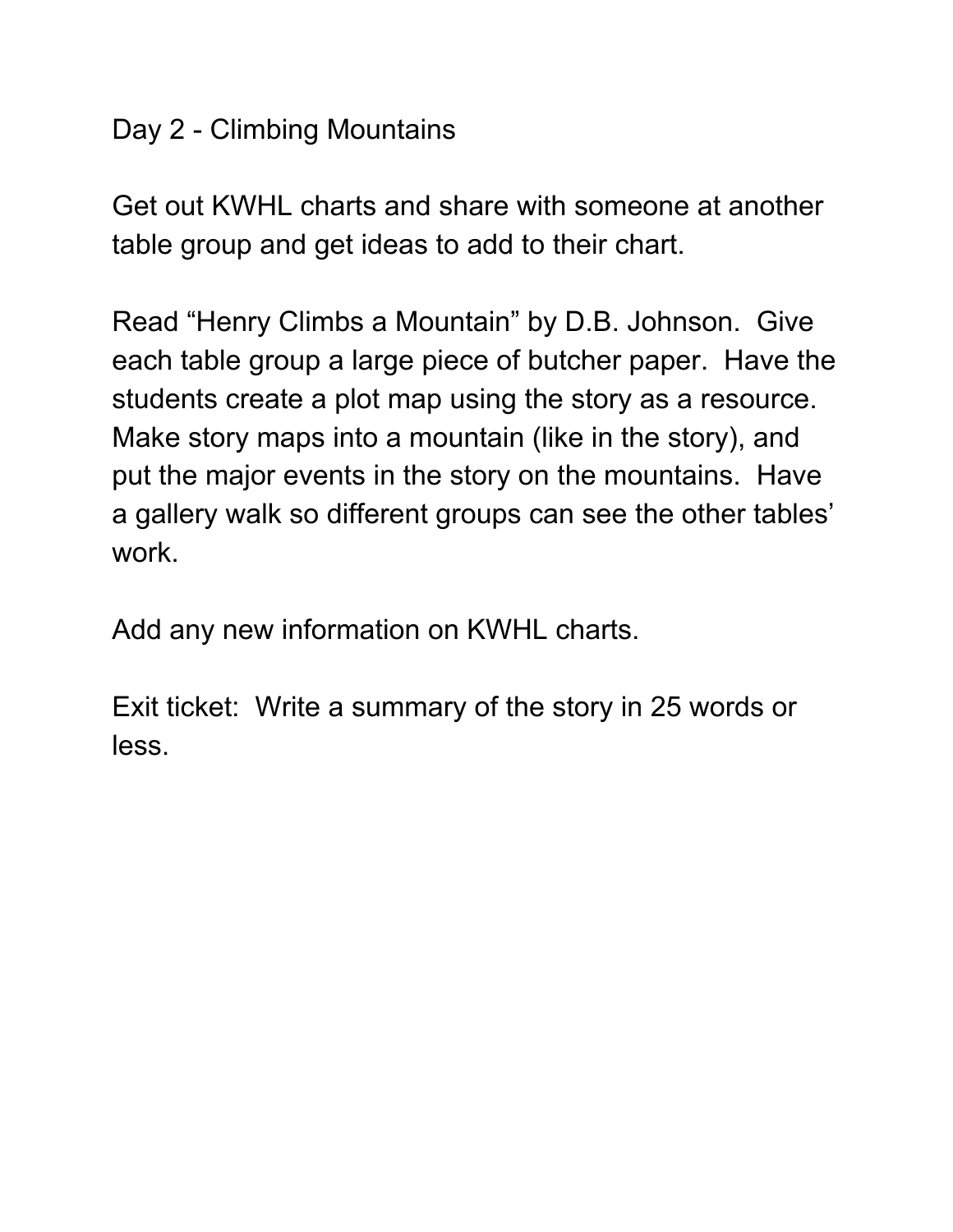## Day 2 - Climbing Mountains

Get out KWHL charts and share with someone at another table group and get ideas to add to their chart.

Read "Henry Climbs a Mountain" by D.B. Johnson. Give each table group a large piece of butcher paper. Have the students create a plot map using the story as a resource. Make story maps into a mountain (like in the story), and put the major events in the story on the mountains. Have a gallery walk so different groups can see the other tables' work.

Add any new information on KWHL charts.

Exit ticket: Write a summary of the story in 25 words or less.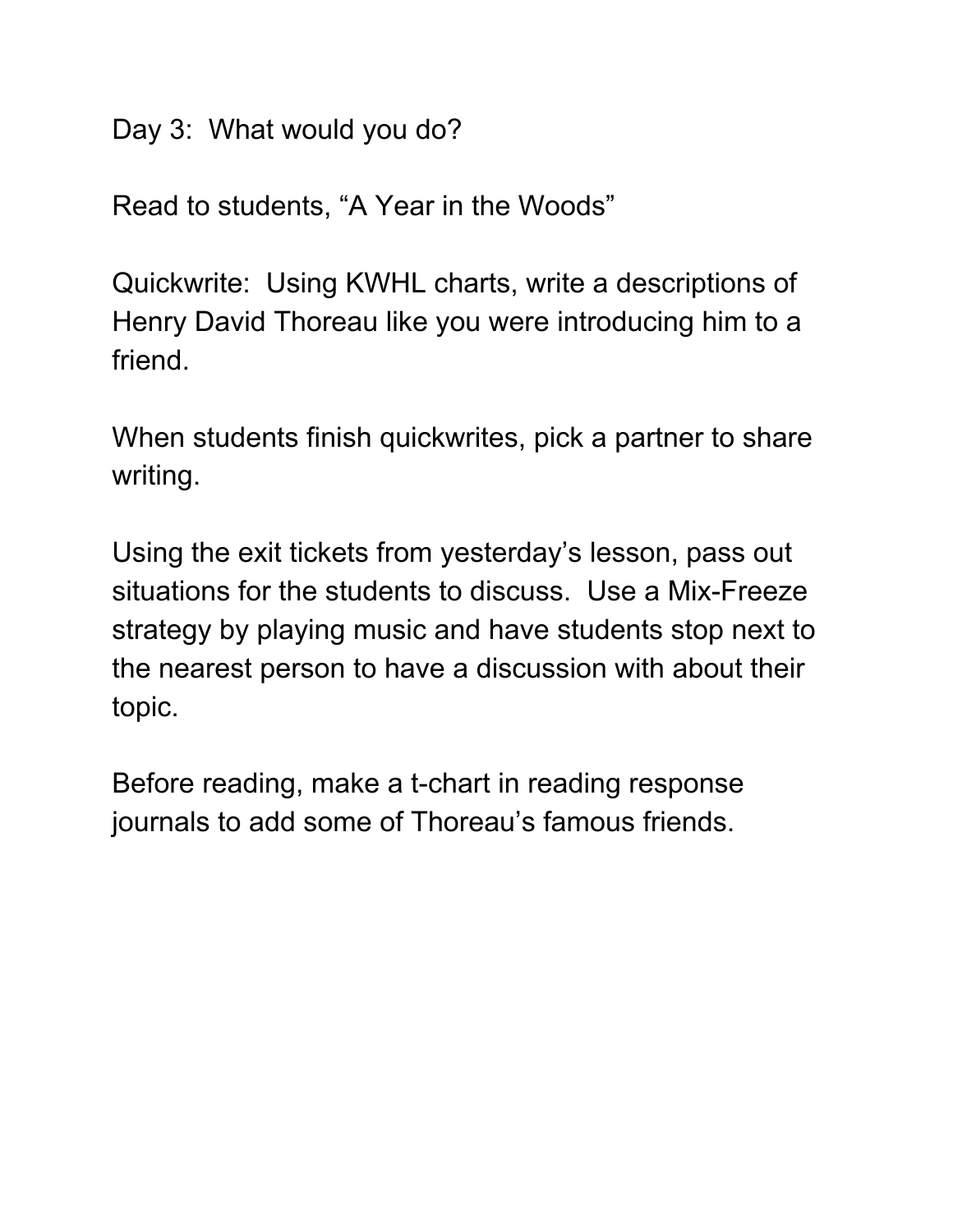Day 3: What would you do?

Read to students, "A Year in the Woods"

Quickwrite: Using KWHL charts, write a descriptions of Henry David Thoreau like you were introducing him to a friend.

When students finish quickwrites, pick a partner to share writing.

Using the exit tickets from yesterday's lesson, pass out situations for the students to discuss. Use a Mix-Freeze strategy by playing music and have students stop next to the nearest person to have a discussion with about their topic.

Before reading, make a t-chart in reading response journals to add some of Thoreau's famous friends.